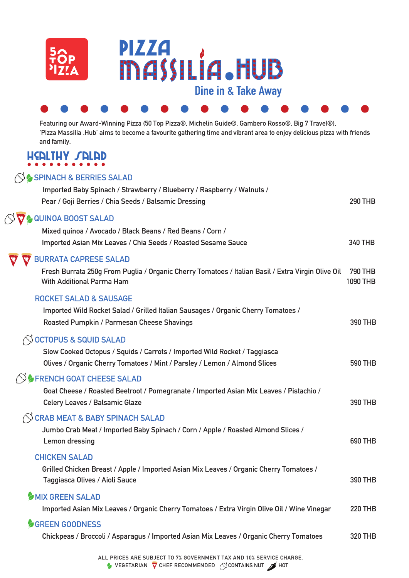

**Featuring our Award-Winning Pizza (50 Top Pizza®, Michelin Guide®, Gambero Rosso®, Big 7 Travel®), 'Pizza Massilia .Hub' aims to become a favourite gathering time and vibrant area to enjoy delicious pizza with friends and family.**

### healthy salad

#### **SPINACH & BERRIES SALAD**

| Imported Baby Spinach / Strawberry / Blueberry / Raspberry / Walnuts /<br>Pear / Goji Berries / Chia Seeds / Balsamic Dressing        | <b>290 THB</b>             |
|---------------------------------------------------------------------------------------------------------------------------------------|----------------------------|
|                                                                                                                                       |                            |
| $\Diamond \nabla$ auinoa boost salad<br>Mixed quinoa / Avocado / Black Beans / Red Beans / Corn /                                     |                            |
| Imported Asian Mix Leaves / Chia Seeds / Roasted Sesame Sauce                                                                         | <b>340 THB</b>             |
| <b>BURRATA CAPRESE SALAD</b>                                                                                                          |                            |
| Fresh Burrata 250g From Puglia / Organic Cherry Tomatoes / Italian Basil / Extra Virgin Olive Oil<br><b>With Additional Parma Ham</b> | <b>790 THB</b><br>1090 THB |
| <b>ROCKET SALAD &amp; SAUSAGE</b>                                                                                                     |                            |
| Imported Wild Rocket Salad / Grilled Italian Sausages / Organic Cherry Tomatoes /                                                     | <b>390 THB</b>             |
| Roasted Pumpkin / Parmesan Cheese Shavings                                                                                            |                            |
| $\Diamond$ octopus & squid salad<br>Slow Cooked Octopus / Squids / Carrots / Imported Wild Rocket / Taggiasca                         |                            |
| Olives / Organic Cherry Tomatoes / Mint / Parsley / Lemon / Almond Slices                                                             | <b>590 THB</b>             |
| $\Diamond$ FRENCH GOAT CHEESE SALAD                                                                                                   |                            |
| Goat Cheese / Roasted Beetroot / Pomegranate / Imported Asian Mix Leaves / Pistachio /                                                |                            |
| <b>Celery Leaves / Balsamic Glaze</b>                                                                                                 | <b>390 THB</b>             |
| <b>CRAB MEAT &amp; BABY SPINACH SALAD</b>                                                                                             |                            |
| Jumbo Crab Meat / Imported Baby Spinach / Corn / Apple / Roasted Almond Slices /<br>Lemon dressing                                    | <b>690 THB</b>             |
| <b>CHICKEN SALAD</b>                                                                                                                  |                            |
| Grilled Chicken Breast / Apple / Imported Asian Mix Leaves / Organic Cherry Tomatoes /<br>Taggiasca Olives / Aioli Sauce              | <b>390 THB</b>             |
| MIX GREEN SALAD                                                                                                                       |                            |
| Imported Asian Mix Leaves / Organic Cherry Tomatoes / Extra Virgin Olive Oil / Wine Vinegar                                           | <b>220 THB</b>             |
| GREEN GOODNESS                                                                                                                        |                            |
| Chickpeas / Broccoli / Asparagus / Imported Asian Mix Leaves / Organic Cherry Tomatoes                                                | <b>320 THB</b>             |
|                                                                                                                                       |                            |

**VEGETARIAN V CHEF RECOMMENDED** CONTAINS NUT **A** HOT **ALL PRICES ARE SUBJECT TO 7% GOVERNMENT TAX AND 10% SERVICE CHARGE.**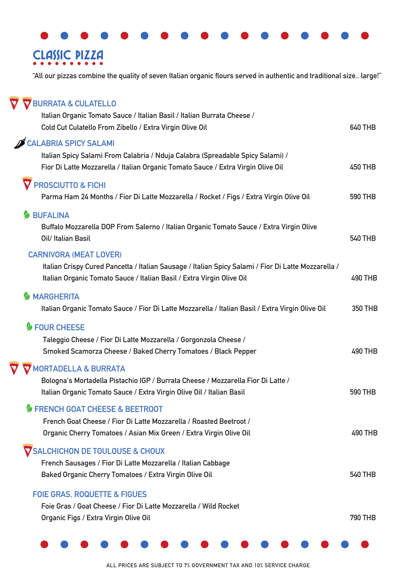## CLASSIC PIZZA

**"All our pizzas combine the quality of seven Italian organic flours served in authentic and traditional size.. large!"**

| <b>BURRATA &amp; CULATELLO</b><br>Italian Organic Tomato Sauce / Italian Basil / Italian Burrata Cheese /                                                                                                     |                |
|---------------------------------------------------------------------------------------------------------------------------------------------------------------------------------------------------------------|----------------|
| Cold Cut Culatello From Zibello / Extra Virgin Olive Oil                                                                                                                                                      | <b>640 THB</b> |
| <b>CALABRIA SPICY SALAMI</b><br>Italian Spicy Salami From Calabria / Nduja Calabra (Spreadable Spicy Salami) /<br>Fior Di Latte Mozzarella / Italian Organic Tomato Sauce / Extra Virgin Olive Oil            | <b>450 THB</b> |
| <b>PROSCIUTTO &amp; FICHI</b><br>Parma Ham 24 Months / Fior Di Latte Mozzarella / Rocket / Figs / Extra Virgin Olive Oil                                                                                      | <b>590 THB</b> |
| <b>BUFALINA</b><br>Buffalo Mozzarella DOP From Salerno / Italian Organic Tomato Sauce / Extra Virgin Olive<br>Oil/ Italian Basil                                                                              | <b>540 THB</b> |
| <b>CARNIVORA (MEAT LOVER)</b><br>Italian Crispy Cured Pancetta / Italian Sausage / Italian Spicy Salami / Fior Di Latte Mozzarella /<br>Italian Organic Tomato Sauce / Italian Basil / Extra Virgin Olive Oil | <b>490 THB</b> |
| <b>MARGHERITA</b><br>Italian Organic Tomato Sauce / Fior Di Latte Mozzarella / Italian Basil / Extra Virgin Olive Oil                                                                                         | <b>350 THB</b> |
| <b>FOUR CHEESE</b><br>Taleggio Cheese / Fior Di Latte Mozzarella / Gorgonzola Cheese /<br>Smoked Scamorza Cheese / Baked Cherry Tomatoes / Black Pepper                                                       | <b>490 THB</b> |
| <b>MORTADELLA &amp; BURRATA</b><br>Bologna's Mortadella Pistachio IGP / Burrata Cheese / Mozzarella Fior Di Latte /<br>Italian Organic Tomato Sauce / Extra Virgin Olive Oil / Italian Basil                  | 590 THB        |
| <b>FRENCH GOAT CHEESE &amp; BEETROOT</b><br>French Goat Cheese / Fior Di Latte Mozzarella / Roasted Beetroot /<br>Organic Cherry Tomatoes / Asian Mix Green / Extra Virgin Olive Oil                          | 490 THB        |
| V SALCHICHON DE TOULOUSE & CHOUX<br>French Sausages / Fior Di Latte Mozzarella / Italian Cabbage<br>Baked Organic Cherry Tomatoes / Extra Virgin Olive Oil                                                    | <b>540 THB</b> |
| <b>FOIE GRAS, ROQUETTE &amp; FIGUES</b><br>Foie Gras / Goat Cheese / Fior Di Latte Mozzarella / Wild Rocket<br>Organic Figs / Extra Virgin Olive Oil                                                          | <b>790 THB</b> |
|                                                                                                                                                                                                               |                |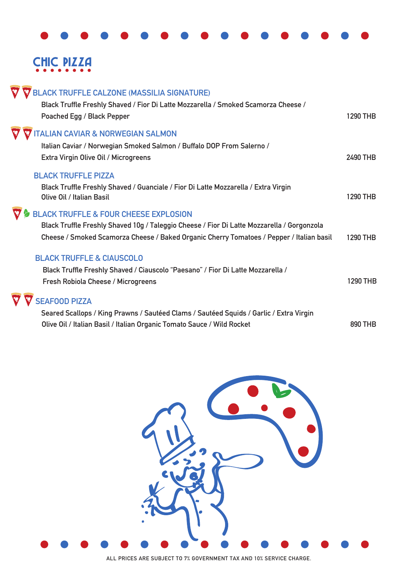# CHIC PIZZA

| V BLACK TRUFFLE CALZONE (MASSILIA SIGNATURE)                                                                                                                                                                                               |                 |
|--------------------------------------------------------------------------------------------------------------------------------------------------------------------------------------------------------------------------------------------|-----------------|
| Black Truffle Freshly Shaved / Fior Di Latte Mozzarella / Smoked Scamorza Cheese /<br>Poached Egg / Black Pepper                                                                                                                           | <b>1290 THB</b> |
| <b>ITALIAN CAVIAR &amp; NORWEGIAN SALMON</b><br>Italian Caviar / Norwegian Smoked Salmon / Buffalo DOP From Salerno /<br>Extra Virgin Olive Oil / Microgreens                                                                              | <b>2490 THB</b> |
| <b>BLACK TRUFFLE PIZZA</b><br>Black Truffle Freshly Shaved / Guanciale / Fior Di Latte Mozzarella / Extra Virgin<br><b>Olive Oil / Italian Basil</b>                                                                                       | 1290 THB        |
| <b>BLACK TRUFFLE &amp; FOUR CHEESE EXPLOSION</b><br>Black Truffle Freshly Shaved 10g / Taleggio Cheese / Fior Di Latte Mozzarella / Gorgonzola<br>Cheese / Smoked Scamorza Cheese / Baked Organic Cherry Tomatoes / Pepper / Italian basil | 1290 THB        |
| <b>BLACK TRUFFLE &amp; CIAUSCOLO</b><br>Black Truffle Freshly Shaved / Ciauscolo "Paesano" / Fior Di Latte Mozzarella /<br><b>Fresh Robiola Cheese / Microgreens</b>                                                                       | <b>1290 THB</b> |
| <b>SEAFOOD PIZZA</b><br>Seared Scallops / King Prawns / Sautéed Clams / Sautéed Squids / Garlic / Extra Virgin<br>Olive Oil / Italian Basil / Italian Organic Tomato Sauce / Wild Rocket                                                   | <b>890 THB</b>  |

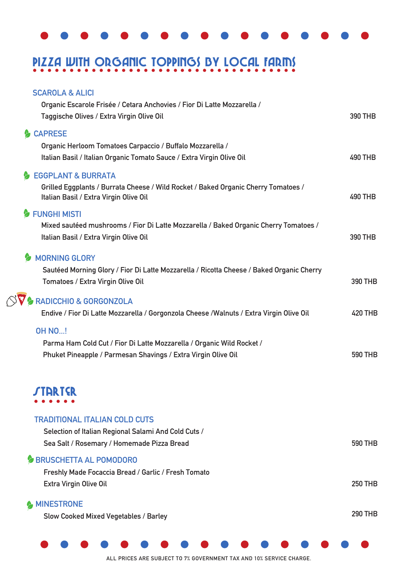### PIZZA WITH ORGANIC TOPPINGS BY LOCAL FARMS

| <b>SCAROLA &amp; ALICI</b><br>Organic Escarole Frisée / Cetara Anchovies / Fior Di Latte Mozzarella /<br>Taggische Olives / Extra Virgin Olive Oil            | 390 THB        |
|---------------------------------------------------------------------------------------------------------------------------------------------------------------|----------------|
| <b>CAPRESE</b><br>Organic Herloom Tomatoes Carpaccio / Buffalo Mozzarella /<br>Italian Basil / Italian Organic Tomato Sauce / Extra Virgin Olive Oil          | <b>490 THB</b> |
| <b>EGGPLANT &amp; BURRATA</b><br>Grilled Eggplants / Burrata Cheese / Wild Rocket / Baked Organic Cherry Tomatoes /<br>Italian Basil / Extra Virgin Olive Oil | <b>490 THB</b> |
| <b>FUNGHI MISTI</b><br>Mixed sautéed mushrooms / Fior Di Latte Mozzarella / Baked Organic Cherry Tomatoes /<br>Italian Basil / Extra Virgin Olive Oil         | <b>390 THB</b> |
| <b>MORNING GLORY</b><br>Sautéed Morning Glory / Fior Di Latte Mozzarella / Ricotta Cheese / Baked Organic Cherry<br>Tomatoes / Extra Virgin Olive Oil         | <b>390 THB</b> |
| <b>V &amp; RADICCHIO &amp; GORGONZOLA</b><br>Endive / Fior Di Latte Mozzarella / Gorgonzola Cheese / Walnuts / Extra Virgin Olive Oil                         | <b>420 THB</b> |
| <b>OH NO!</b><br>Parma Ham Cold Cut / Fior Di Latte Mozzarella / Organic Wild Rocket /<br>Phuket Pineapple / Parmesan Shavings / Extra Virgin Olive Oil       | <b>590 THB</b> |
| <b>STARTER</b>                                                                                                                                                |                |
| <b>TRADITIONAL ITALIAN COLD CUTS</b><br>Selection of Italian Regional Salami And Cold Cuts /<br>Sea Salt / Rosemary / Homemade Pizza Bread                    | <b>590 THB</b> |
| <b>BRUSCHETTA AL POMODORO</b><br>Freshly Made Focaccia Bread / Garlic / Fresh Tomato<br><b>Extra Virgin Olive Oil</b>                                         | <b>250 THB</b> |
| <b>MINESTRONE</b><br><b>Slow Cooked Mixed Vegetables / Barley</b>                                                                                             | <b>290 THB</b> |
| and the second                                                                                                                                                |                |

 $\varnothing$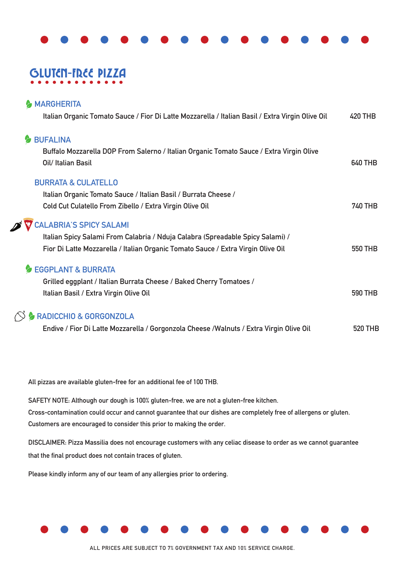

### GLUTEN-FREE PIZZA

| <b>S</b> MARGHERITA<br>Italian Organic Tomato Sauce / Fior Di Latte Mozzarella / Italian Basil / Extra Virgin Olive Oil                                            | 420 THB        |
|--------------------------------------------------------------------------------------------------------------------------------------------------------------------|----------------|
| <b>BUFALINA</b>                                                                                                                                                    |                |
| Buffalo Mozzarella DOP From Salerno / Italian Organic Tomato Sauce / Extra Virgin Olive<br>Oil/ Italian Basil                                                      | <b>640 THB</b> |
| <b>BURRATA &amp; CULATELLO</b>                                                                                                                                     |                |
| Italian Organic Tomato Sauce / Italian Basil / Burrata Cheese /<br>Cold Cut Culatello From Zibello / Extra Virgin Olive Oil                                        | <b>740 THB</b> |
| <b>V CALABRIA'S SPICY SALAMI</b>                                                                                                                                   |                |
| Italian Spicy Salami From Calabria / Nduja Calabra (Spreadable Spicy Salami) /<br>Fior Di Latte Mozzarella / Italian Organic Tomato Sauce / Extra Virgin Olive Oil | 550 THB        |
| <b>SEGGPLANT &amp; BURRATA</b>                                                                                                                                     |                |
| Grilled eggplant / Italian Burrata Cheese / Baked Cherry Tomatoes /<br>Italian Basil / Extra Virgin Olive Oil                                                      | <b>590 THB</b> |
| <b>A RADICCHIO &amp; GORGONZOLA</b>                                                                                                                                |                |
| Endive / Fior Di Latte Mozzarella / Gorgonzola Cheese / Walnuts / Extra Virgin Olive Oil                                                                           | <b>520 THB</b> |

**All pizzas are available gluten-free for an additional fee of 100 THB.**

**SAFETY NOTE: Although our dough is 100% gluten-free, we are not a gluten-free kitchen. Cross-contamination could occur and cannot guarantee that our dishes are completely free of allergens or gluten. Customers are encouraged to consider this prior to making the order.**

**DISCLAIMER: Pizza Massilia does not encourage customers with any celiac disease to order as we cannot guarantee that the final product does not contain traces of gluten.** 

**Please kindly inform any of our team of any allergies prior to ordering.**

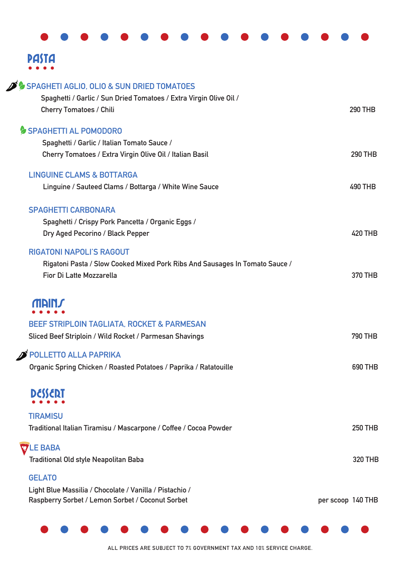# **PASTA**

| SPAGHETI AGLIO, OLIO & SUN DRIED TOMATOES<br>Spaghetti / Garlic / Sun Dried Tomatoes / Extra Virgin Olive Oil /<br><b>Cherry Tomatoes / Chili</b> | <b>290 THB</b>    |
|---------------------------------------------------------------------------------------------------------------------------------------------------|-------------------|
| SPAGHETTI AL POMODORO<br>Spaghetti / Garlic / Italian Tomato Sauce /<br>Cherry Tomatoes / Extra Virgin Olive Oil / Italian Basil                  | <b>290 THB</b>    |
| <b>LINGUINE CLAMS &amp; BOTTARGA</b><br>Linguine / Sauteed Clams / Bottarga / White Wine Sauce                                                    | 490 THB           |
| <b>SPAGHETTI CARBONARA</b><br>Spaghetti / Crispy Pork Pancetta / Organic Eggs /<br>Dry Aged Pecorino / Black Pepper                               | <b>420 THB</b>    |
| <b>RIGATONI NAPOLI'S RAGOUT</b><br>Rigatoni Pasta / Slow Cooked Mixed Pork Ribs And Sausages In Tomato Sauce /<br><b>Fior Di Latte Mozzarella</b> | <b>370 THB</b>    |
| 71 EIN J                                                                                                                                          |                   |
| <b>BEEF STRIPLOIN TAGLIATA, ROCKET &amp; PARMESAN</b><br>Sliced Beef Striploin / Wild Rocket / Parmesan Shavings                                  | <b>790 THB</b>    |
| POLLETTO ALLA PAPRIKA<br>Organic Spring Chicken / Roasted Potatoes / Paprika / Ratatouille                                                        | <b>690 THB</b>    |
| <b>DESSERT</b>                                                                                                                                    |                   |
| <b>TIRAMISU</b><br>Traditional Italian Tiramisu / Mascarpone / Coffee / Cocoa Powder                                                              | <b>250 THB</b>    |
| <b>VLE BABA</b><br><b>Traditional Old style Neapolitan Baba</b>                                                                                   | <b>320 THE</b>    |
| <b>GELATO</b><br>Light Blue Massilia / Chocolate / Vanilla / Pistachio /<br>Raspberry Sorbet / Lemon Sorbet / Coconut Sorbet                      | per scoop 140 THB |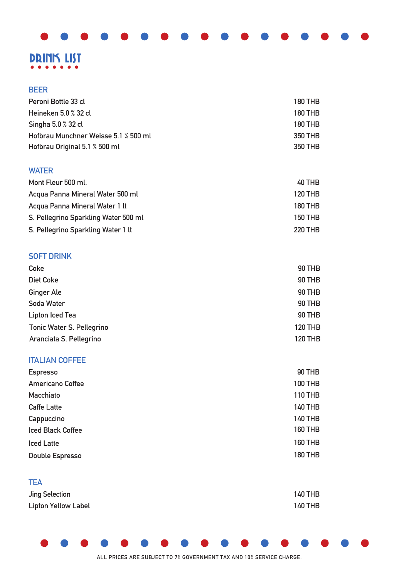# DRINK LIST

#### **BEER**

| Peroni Bottle 33 cl                  | <b>180 THB</b> |
|--------------------------------------|----------------|
| Heineken 5.0 % 32 cl                 | <b>180 THB</b> |
| Singha 5.0 % 32 cl                   | <b>180 THB</b> |
| Hofbrau Munchner Weisse 5.1 % 500 ml | <b>350 THB</b> |
| Hofbrau Original 5.1 % 500 ml        | 350 THB        |
|                                      |                |
|                                      |                |

#### **WATER**

| Mont Fleur 500 ml.                   | 40 THB         |
|--------------------------------------|----------------|
| Acqua Panna Mineral Water 500 ml     | 120 THB        |
| Acqua Panna Mineral Water 1 lt       | <b>180 THB</b> |
| S. Pellegrino Sparkling Water 500 ml | <b>150 THB</b> |
| S. Pellegrino Sparkling Water 1 lt   | <b>220 THB</b> |

#### **SOFT DRINK**

| <b>Coke</b>                      | <b>90 THB</b>  |
|----------------------------------|----------------|
| <b>Diet Coke</b>                 | <b>90 THB</b>  |
| <b>Ginger Ale</b>                | <b>90 THB</b>  |
| Soda Water                       | <b>90 THB</b>  |
| <b>Lipton Iced Tea</b>           | <b>90 THB</b>  |
| <b>Tonic Water S. Pellegrino</b> | <b>120 THB</b> |
| Aranciata S. Pellegrino          | <b>120 THB</b> |

#### **ITALIAN COFFEE**

| 90 THB         |
|----------------|
| <b>100 THB</b> |
| <b>110 THB</b> |
| <b>140 THB</b> |
| <b>140 THB</b> |
| <b>160 THB</b> |
| <b>160 THB</b> |
| <b>180 THB</b> |
|                |

### **TEA**

| <b>Jing Selection</b>      | <b>140 THB</b> |
|----------------------------|----------------|
| <b>Lipton Yellow Label</b> | <b>140 THB</b> |